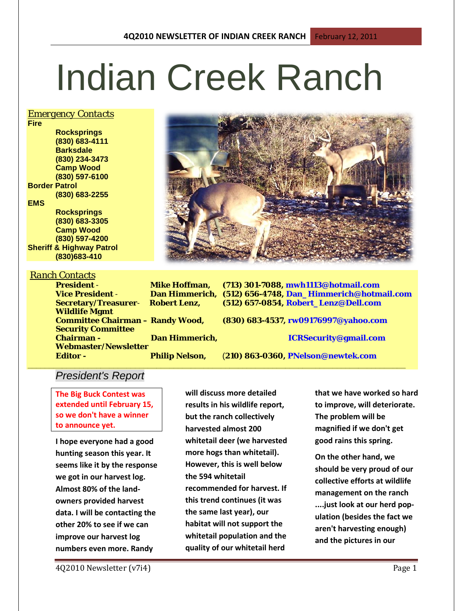# Indian Creek Ranch

#### *Emergency Contacts*

**Fire Rocksprings (830) 683-4111 Barksdale (830) 234-3473 Camp Wood (830) 597-6100 Border Patrol (830) 683-2255 EMS Rocksprings (830) 683-3305 Camp Wood**

**(830) 597-4200 Sheriff & Highway Patrol (830)683-410**

**Wildlife Mgmt** 

**Security Committee** 

#### *Ranch Contacts*

**President** - **Mike Hoffman, (713) 301-7088, mwh1113@hotmail.com Vice President** - **Dan Himmerich, (512) 656-4748, Dan\_Himmerich@hotmail.com Secretary/Treasurer**- **Robert Lenz, (512) 657-0854, Robert\_Lenz@Dell.com**

**Committee Chairman – Randy Wood, (830) 683-4537, rw09176997@yahoo.com Chairman - Dan Himmerich, ICRSecurity@gmail.com**

**\_\_\_\_\_\_\_\_\_\_\_\_\_\_\_\_\_\_\_\_\_\_\_\_\_\_\_\_\_\_\_\_\_\_\_\_\_\_\_\_\_\_\_\_\_\_\_\_\_\_\_\_\_\_\_\_\_\_\_\_\_\_\_\_\_\_\_\_\_\_\_\_\_\_\_\_\_\_\_\_\_\_\_\_\_\_\_\_**

**Editor - Philip Nelson,** (**210) 863-0360, PNelson@newtek.com**

## *President's Report*

**Webmaster/Newsletter** 

**The Big Buck Contest was extended until February 15, so we don't have a winner to announce yet.**

**I hope everyone had a good hunting season this year. It seems like it by the response we got in our harvest log. Almost 80% of the landowners provided harvest data. I will be contacting the other 20% to see if we can improve our harvest log numbers even more. Randy** 

**will discuss more detailed results in his wildlife report, but the ranch collectively harvested almost 200 whitetail deer (we harvested more hogs than whitetail). However, this is well below the 594 whitetail recommended for harvest. If this trend continues (it was the same last year), our habitat will not support the whitetail population and the quality of our whitetail herd** 

**that we have worked so hard to improve, will deteriorate. The problem will be magnified if we don't get good rains this spring.**

**On the other hand, we should be very proud of our collective efforts at wildlife management on the ranch ....just look at our herd population (besides the fact we aren't harvesting enough) and the pictures in our**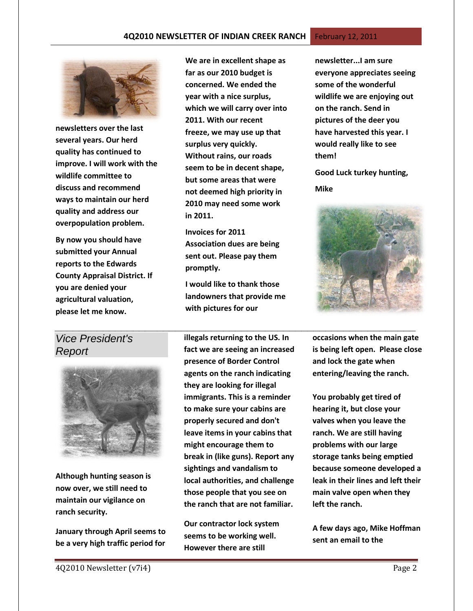#### **4Q2010 NEWSLETTER OF INDIAN CREEK RANCH February 12, 2011**



**newsletters over the last several years. Our herd quality has continued to improve. I will work with the wildlife committee to discuss and recommend ways to maintain our herd quality and address our overpopulation problem.**

**By now you should have submitted your Annual reports to the Edwards County Appraisal District. If you are denied your agricultural valuation, please let me know.**

## *Vice President's Report*



**Although hunting season is now over, we still need to maintain our vigilance on ranch security.**

**January through April seems to be a very high traffic period for** 

**We are in excellent shape as far as our 2010 budget is concerned. We ended the year with a nice surplus, which we will carry over into 2011. With our recent freeze, we may use up that surplus very quickly. Without rains, our roads seem to be in decent shape, but some areas that were not deemed high priority in 2010 may need some work in 2011.**

**Invoices for 2011 Association dues are being sent out. Please pay them promptly.**

**I would like to thank those landowners that provide me with pictures for our** 

*\_\_\_\_\_\_\_\_\_\_\_\_\_\_\_\_\_\_\_\_\_\_\_\_\_\_\_\_\_\_\_\_\_\_\_\_\_\_\_\_\_\_\_\_\_\_\_\_\_\_\_\_\_\_\_\_\_\_\_\_* **illegals returning to the US. In fact we are seeing an increased presence of Border Control agents on the ranch indicating they are looking for illegal immigrants. This is a reminder to make sure your cabins are properly secured and don't leave items in your cabins that might encourage them to break in (like guns). Report any sightings and vandalism to local authorities, and challenge those people that you see on the ranch that are not familiar.** 

> **Our contractor lock system seems to be working well. However there are still**

**newsletter...I am sure everyone appreciates seeing some of the wonderful wildlife we are enjoying out on the ranch. Send in pictures of the deer you have harvested this year. I would really like to see them!**

**Good Luck turkey hunting,**

**Mike**



**occasions when the main gate is being left open. Please close and lock the gate when entering/leaving the ranch.**

**You probably get tired of hearing it, but close your valves when you leave the ranch. We are still having problems with our large storage tanks being emptied because someone developed a leak in their lines and left their main valve open when they left the ranch.**

**A few days ago, Mike Hoffman sent an email to the**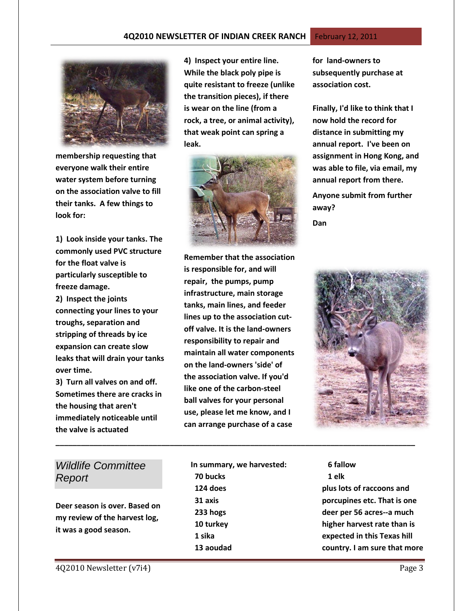#### **4Q2010 NEWSLETTER OF INDIAN CREEK RANCH** February 12, 2011





**membership requesting that everyone walk their entire water system before turning on the association valve to fill their tanks. A few things to look for:**

**1) Look inside your tanks. The commonly used PVC structure for the float valve is particularly susceptible to freeze damage.**

**2) Inspect the joints connecting your lines to your troughs, separation and stripping of threads by ice expansion can create slow leaks that will drain your tanks over time.**

**3) Turn all valves on and off. Sometimes there are cracks in the housing that aren't immediately noticeable until the valve is actuated**

**4) Inspect your entire line. While the black poly pipe is quite resistant to freeze (unlike the transition pieces), if there is wear on the line (from a rock, a tree, or animal activity), that weak point can spring a leak.** 



**for land-owners to subsequently purchase at association cost.**

**Finally, I'd like to think that I now hold the record for distance in submitting my annual report. I've been on assignment in Hong Kong, and was able to file, via email, my annual report from there.** 

**Anyone submit from further away?**

**Dan**

**Remember that the association is responsible for, and will repair, the pumps, pump infrastructure, main storage tanks, main lines, and feeder lines up to the association cutoff valve. It is the land-owners responsibility to repair and maintain all water components on the land-owners 'side' of the association valve. If you'd like one of the carbon-steel ball valves for your personal use, please let me know, and I can arrange purchase of a case** 



## *Wildlife Committee Report*

**Deer season is over. Based on my review of the harvest log, it was a good season.**

**In summary, we harvested: 70 bucks 124 does 31 axis 233 hogs 10 turkey 1 sika 13 aoudad**

**\_\_\_\_\_\_\_\_\_\_\_\_\_\_\_\_\_\_\_\_\_\_\_\_\_\_\_\_\_\_\_\_\_\_\_\_\_\_\_\_\_\_\_\_\_\_\_\_\_\_\_\_\_\_\_\_\_\_\_\_\_\_\_\_\_\_\_\_\_\_\_\_\_\_\_\_\_\_\_\_\_\_\_\_\_**

 **6 fallow 1 elk plus lots of raccoons and porcupines etc. That is one deer per 56 acres--a much higher harvest rate than is expected in this Texas hill country. I am sure that more**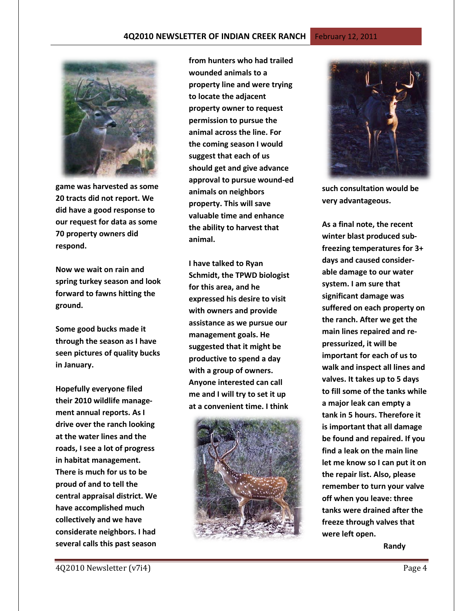

**game was harvested as some 20 tracts did not report. We did have a good response to our request for data as some 70 property owners did respond.** 

**Now we wait on rain and spring turkey season and look forward to fawns hitting the ground.** 

**Some good bucks made it through the season as I have seen pictures of quality bucks in January.**

**Hopefully everyone filed their 2010 wildlife management annual reports. As I drive over the ranch looking at the water lines and the roads, I see a lot of progress in habitat management. There is much for us to be proud of and to tell the central appraisal district. We have accomplished much collectively and we have considerate neighbors. I had several calls this past season** 

**from hunters who had trailed wounded animals to a property line and were trying to locate the adjacent property owner to request permission to pursue the animal across the line. For the coming season I would suggest that each of us should get and give advance approval to pursue wound-ed animals on neighbors property. This will save valuable time and enhance the ability to harvest that animal.**

**I have talked to Ryan Schmidt, the TPWD biologist for this area, and he expressed his desire to visit with owners and provide assistance as we pursue our management goals. He suggested that it might be productive to spend a day with a group of owners. Anyone interested can call me and I will try to set it up at a convenient time. I think** 





**such consultation would be very advantageous.** 

**As a final note, the recent winter blast produced subfreezing temperatures for 3+ days and caused considerable damage to our water system. I am sure that significant damage was suffered on each property on the ranch. After we get the main lines repaired and repressurized, it will be important for each of us to walk and inspect all lines and valves. It takes up to 5 days to fill some of the tanks while a major leak can empty a tank in 5 hours. Therefore it is important that all damage be found and repaired. If you find a leak on the main line let me know so I can put it on the repair list. Also, please remember to turn your valve off when you leave: three tanks were drained after the freeze through valves that were left open.** 

 **Randy**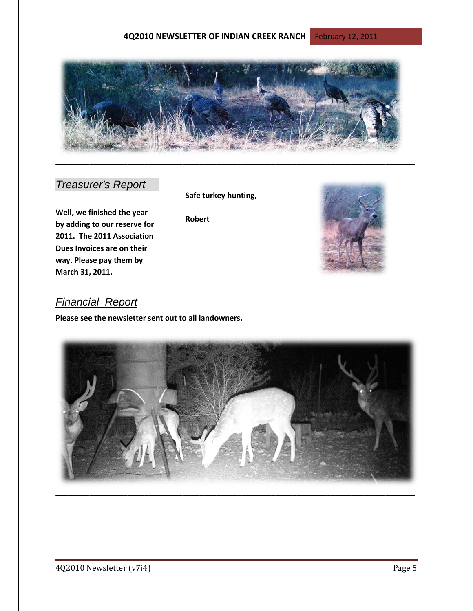

## *Treasurer's Report*

**Well, we finished the year by adding to our reserve for 2011. The 2011 Association Dues Invoices are on their way. Please pay them by March 31, 2011.**

### **Safe turkey hunting,**

**Robert**



## *Financial Report*

**Please see the newsletter sent out to all landowners.**